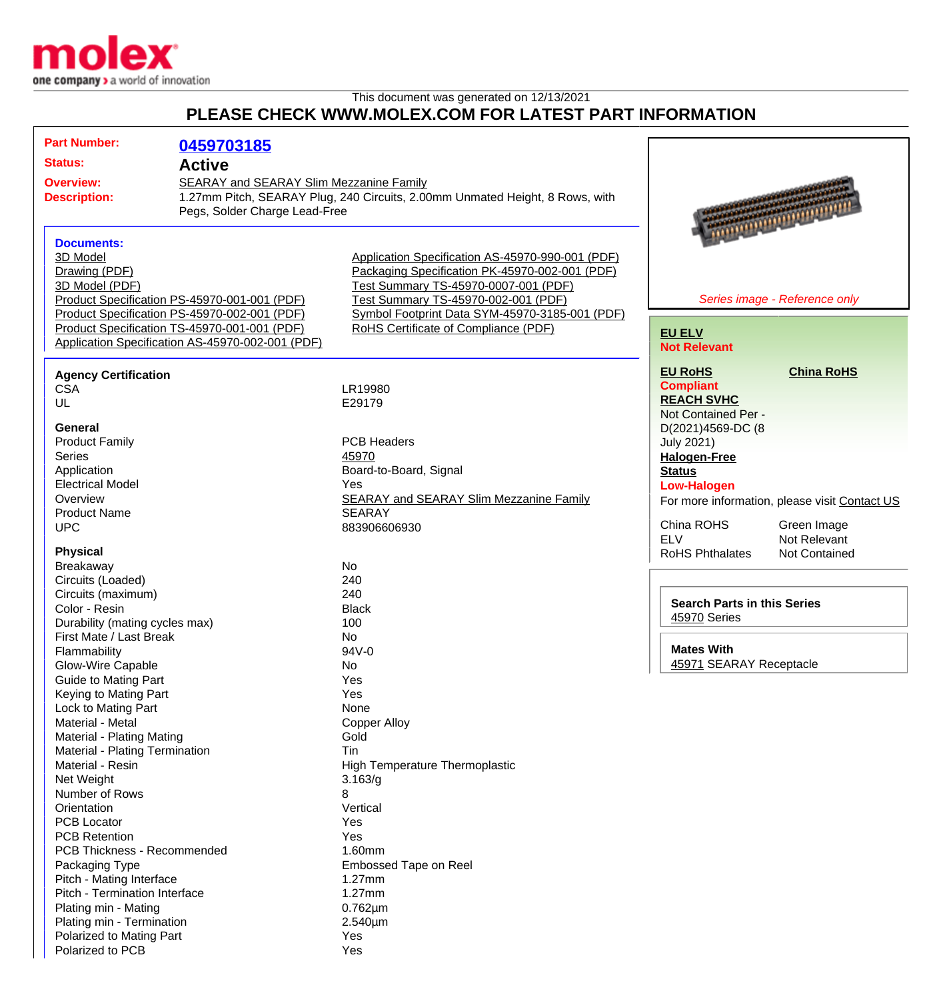

## This document was generated on 12/13/2021 **PLEASE CHECK WWW.MOLEX.COM FOR LATEST PART INFORMATION**

| <b>Part Number:</b>                              |                                              |                                                                              |                                    |                                               |
|--------------------------------------------------|----------------------------------------------|------------------------------------------------------------------------------|------------------------------------|-----------------------------------------------|
|                                                  | 0459703185                                   |                                                                              |                                    |                                               |
| <b>Status:</b>                                   | <b>Active</b>                                |                                                                              |                                    |                                               |
| <b>Overview:</b>                                 | SEARAY and SEARAY Slim Mezzanine Family      |                                                                              |                                    |                                               |
| <b>Description:</b>                              |                                              | 1.27mm Pitch, SEARAY Plug, 240 Circuits, 2.00mm Unmated Height, 8 Rows, with |                                    |                                               |
|                                                  | Pegs, Solder Charge Lead-Free                |                                                                              |                                    |                                               |
|                                                  |                                              |                                                                              |                                    | <b>Marian Marian Maria</b>                    |
| <b>Documents:</b>                                |                                              |                                                                              |                                    |                                               |
| 3D Model                                         |                                              | Application Specification AS-45970-990-001 (PDF)                             |                                    |                                               |
| Drawing (PDF)                                    |                                              | Packaging Specification PK-45970-002-001 (PDF)                               |                                    |                                               |
| 3D Model (PDF)                                   |                                              | Test Summary TS-45970-0007-001 (PDF)                                         |                                    |                                               |
|                                                  | Product Specification PS-45970-001-001 (PDF) | Test Summary TS-45970-002-001 (PDF)                                          |                                    | Series image - Reference only                 |
|                                                  | Product Specification PS-45970-002-001 (PDF) | Symbol Footprint Data SYM-45970-3185-001 (PDF)                               |                                    |                                               |
|                                                  | Product Specification TS-45970-001-001 (PDF) | RoHS Certificate of Compliance (PDF)                                         |                                    |                                               |
| Application Specification AS-45970-002-001 (PDF) |                                              |                                                                              | <b>EU ELV</b>                      |                                               |
|                                                  |                                              |                                                                              | <b>Not Relevant</b>                |                                               |
| <b>Agency Certification</b>                      |                                              |                                                                              | <b>EU RoHS</b>                     | <b>China RoHS</b>                             |
| <b>CSA</b>                                       |                                              | LR19980                                                                      | <b>Compliant</b>                   |                                               |
| UL                                               |                                              | E29179                                                                       | <b>REACH SVHC</b>                  |                                               |
|                                                  |                                              |                                                                              | Not Contained Per -                |                                               |
| <b>General</b>                                   |                                              |                                                                              | D(2021)4569-DC (8                  |                                               |
| <b>Product Family</b>                            |                                              | <b>PCB Headers</b>                                                           | <b>July 2021)</b>                  |                                               |
| <b>Series</b>                                    |                                              | 45970                                                                        | <b>Halogen-Free</b>                |                                               |
| Application                                      |                                              | Board-to-Board, Signal                                                       | <b>Status</b>                      |                                               |
| <b>Electrical Model</b>                          |                                              | Yes                                                                          | <b>Low-Halogen</b>                 |                                               |
| Overview                                         |                                              | <b>SEARAY and SEARAY Slim Mezzanine Family</b>                               |                                    | For more information, please visit Contact US |
| <b>Product Name</b>                              |                                              | <b>SEARAY</b>                                                                |                                    |                                               |
| <b>UPC</b>                                       |                                              | 883906606930                                                                 | China ROHS                         | Green Image                                   |
|                                                  |                                              |                                                                              | <b>ELV</b>                         | Not Relevant                                  |
| <b>Physical</b>                                  |                                              |                                                                              | <b>RoHS Phthalates</b>             | <b>Not Contained</b>                          |
| Breakaway                                        |                                              | No                                                                           |                                    |                                               |
| Circuits (Loaded)                                |                                              | 240                                                                          |                                    |                                               |
| Circuits (maximum)                               |                                              | 240                                                                          |                                    |                                               |
| Color - Resin                                    |                                              | <b>Black</b>                                                                 | <b>Search Parts in this Series</b> |                                               |
| Durability (mating cycles max)                   |                                              | 100                                                                          | 45970 Series                       |                                               |
| First Mate / Last Break                          |                                              | No                                                                           |                                    |                                               |
| Flammability                                     |                                              | 94V-0                                                                        | <b>Mates With</b>                  |                                               |
| Glow-Wire Capable                                |                                              | No                                                                           | 45971 SEARAY Receptacle            |                                               |
| Guide to Mating Part                             |                                              | Yes                                                                          |                                    |                                               |
| Keying to Mating Part                            |                                              | Yes                                                                          |                                    |                                               |
| Lock to Mating Part                              |                                              | None                                                                         |                                    |                                               |
| Material - Metal                                 |                                              | <b>Copper Alloy</b>                                                          |                                    |                                               |
| Material - Plating Mating                        |                                              | Gold                                                                         |                                    |                                               |
| Material - Plating Termination                   |                                              | Tin                                                                          |                                    |                                               |
| Material - Resin                                 |                                              | <b>High Temperature Thermoplastic</b>                                        |                                    |                                               |
| Net Weight                                       |                                              | 3.163/g                                                                      |                                    |                                               |
| Number of Rows                                   |                                              | 8                                                                            |                                    |                                               |
| Orientation                                      |                                              | Vertical                                                                     |                                    |                                               |
| <b>PCB Locator</b>                               |                                              | Yes                                                                          |                                    |                                               |
| <b>PCB Retention</b>                             |                                              | Yes                                                                          |                                    |                                               |
| <b>PCB Thickness - Recommended</b>               |                                              | 1.60mm                                                                       |                                    |                                               |
| Packaging Type                                   |                                              | Embossed Tape on Reel                                                        |                                    |                                               |
| Pitch - Mating Interface                         |                                              | $1.27$ mm                                                                    |                                    |                                               |
| Pitch - Termination Interface                    |                                              | $1.27$ mm                                                                    |                                    |                                               |
| Plating min - Mating                             |                                              | $0.762 \mu m$                                                                |                                    |                                               |
| Plating min - Termination                        |                                              | $2.540 \mu m$                                                                |                                    |                                               |
| Polarized to Mating Part                         |                                              | Yes                                                                          |                                    |                                               |
| Polarized to PCB                                 |                                              | Yes                                                                          |                                    |                                               |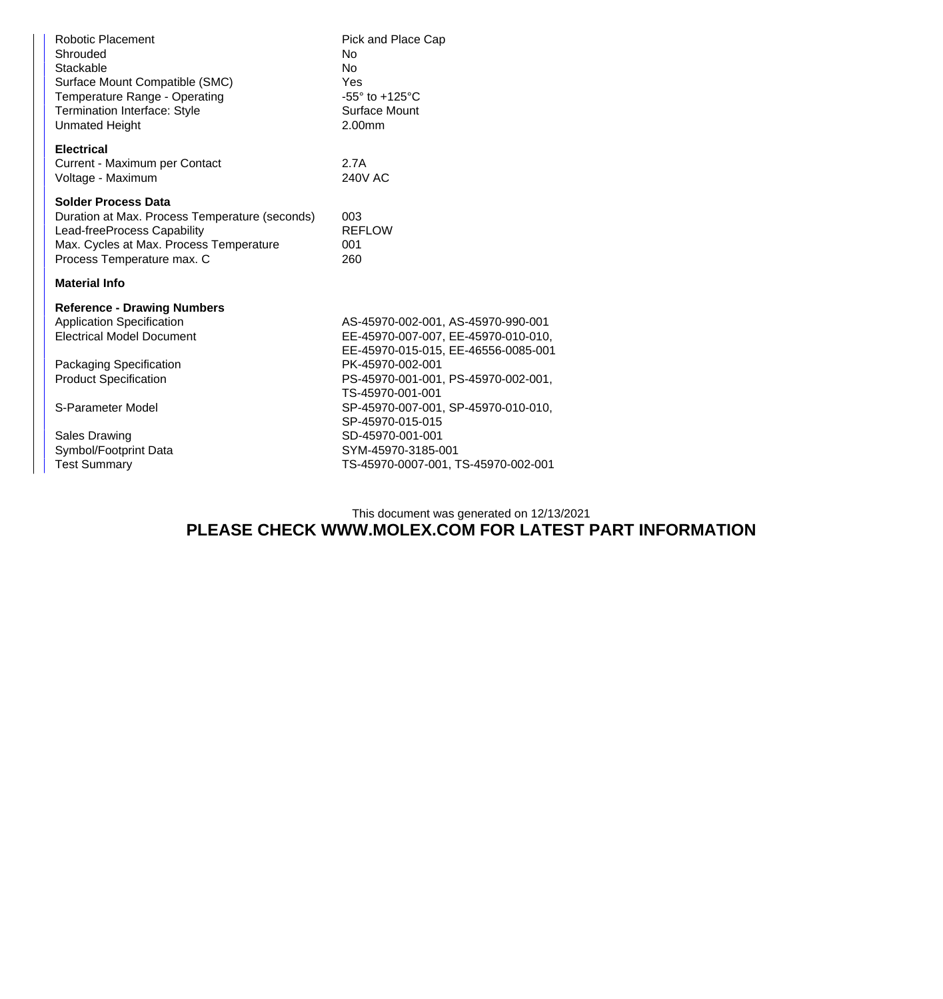| Robotic Placement<br>Shrouded<br>Stackable<br>Surface Mount Compatible (SMC)<br>Temperature Range - Operating<br>Termination Interface: Style<br><b>Unmated Height</b>               | Pick and Place Cap<br>No<br><b>No</b><br>Yes<br>$-55^\circ$ to $+125^\circ$ C<br>Surface Mount<br>2.00mm                                                                    |
|--------------------------------------------------------------------------------------------------------------------------------------------------------------------------------------|-----------------------------------------------------------------------------------------------------------------------------------------------------------------------------|
| <b>Electrical</b><br>Current - Maximum per Contact<br>Voltage - Maximum                                                                                                              | 2.7A<br><b>240V AC</b>                                                                                                                                                      |
| <b>Solder Process Data</b><br>Duration at Max. Process Temperature (seconds)<br>Lead-freeProcess Capability<br>Max. Cycles at Max. Process Temperature<br>Process Temperature max. C | 003<br><b>REFLOW</b><br>001<br>260                                                                                                                                          |
| <b>Material Info</b>                                                                                                                                                                 |                                                                                                                                                                             |
| <b>Reference - Drawing Numbers</b><br><b>Application Specification</b><br><b>Electrical Model Document</b><br>Packaging Specification<br><b>Product Specification</b>                | AS-45970-002-001, AS-45970-990-001<br>EE-45970-007-007, EE-45970-010-010,<br>EE-45970-015-015, EE-46556-0085-001<br>PK-45970-002-001<br>PS-45970-001-001, PS-45970-002-001, |
| S-Parameter Model                                                                                                                                                                    | TS-45970-001-001<br>SP-45970-007-001, SP-45970-010-010,<br>SP-45970-015-015                                                                                                 |
| <b>Sales Drawing</b><br>Symbol/Footprint Data<br><b>Test Summary</b>                                                                                                                 | SD-45970-001-001<br>SYM-45970-3185-001<br>TS-45970-0007-001, TS-45970-002-001                                                                                               |
|                                                                                                                                                                                      |                                                                                                                                                                             |

## This document was generated on 12/13/2021 **PLEASE CHECK WWW.MOLEX.COM FOR LATEST PART INFORMATION**